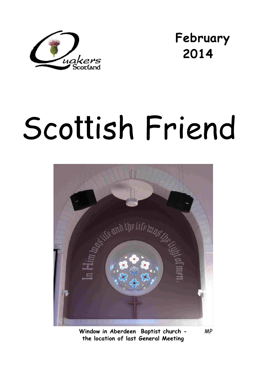

**February 2014** 

# Scottish Friend



**Window in Aberdeen Baptist church -** MP **the location of last General Meeting**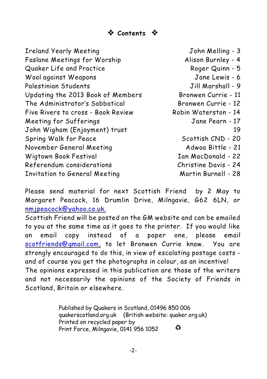# **Contents**

| <b>Ireland Yearly Meeting</b>      | John Melling - 3     |
|------------------------------------|----------------------|
| Faslane Meetings for Worship       | Alison Burnley - 4   |
| Quaker Life and Practice           | Roger Quinn - 5      |
| Wool against Weapons               | Jane Lewis - 6       |
| Palestinian Students               | Jill Marshall - 9    |
| Updating the 2013 Book of Members  | Bronwen Currie - 11  |
| The Administrator's Sabbatical     | Bronwen Currie - 12  |
| Five Rivers to cross - Book Review | Robin Waterston - 14 |
| Meeting for Sufferings             | Jane Pearn - 17      |
| John Wigham (Enjoyment) trust      | 19                   |
| Spring Walk for Peace              | Scottish CND - 20    |
| November General Meeting           | Adwoa Bittle - 21    |
| Wigtown Book Festival              | Ian MacDonald - 22   |
| Referendum considerations          | Christine Davis - 24 |
| Invitation to General Meeting      | Martin Burnell - 28  |

Please send material for next *Scottish Friend* by 2 May to Margaret Peacock, 16 Drumlin Drive, Milngavie, G62 6LN, or [nmjpeacock@yahoo.co.uk.](mailto:nmjpeacock@yahoo.co.uk.)

*Scottish Friend* will be posted on the GM website and can be emailed to you at the same time as it goes to the printer. If you would like an email copy instead of a paper one, please email [scotfriends@gmail.com,](mailto:scotfriends@aol.com,) to let Bronwen Currie know. You are strongly encouraged to do this, in view of escalating postage costs and of course you get the photographs in colour, as an incentive! The opinions expressed in this publication are those of the writers and not necessarily the opinions of the Society of Friends in Scotland, Britain or elsewhere.

> Published by Quakers in Scotland, 01496 850 006 quakerscotland.org.uk (British website: quaker.org.uk) Printed on recycled paper by € Print Force, Milngavie, 0141 956 1052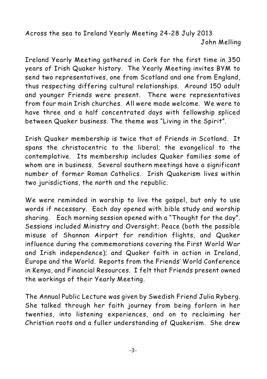Across the sea to Ireland Yearly Meeting 24-28 July 2013 John Melling

Ireland Yearly Meeting gathered in Cork for the first time in 350 years of Irish Quaker history. The Yearly Meeting invites BYM to send two representatives, one from Scotland and one from England, thus respecting differing cultural relationships. Around 150 adult and younger Friends were present. There were representatives from four main Irish churches. All were made welcome. We were to have three and a half concentrated days with fellowship spliced between Quaker business. The theme was "Living in the Spirit".

Irish Quaker membership is twice that of Friends in Scotland. It spans the christocentric to the liberal; the evangelical to the contemplative. Its membership includes Quaker families some of whom are in business. Several southern meetings have a significant number of former Roman Catholics. Irish Quakerism lives within two jurisdictions, the north and the republic.

We were reminded in worship to live the gospel, but only to use words if necessary. Each day opened with bible study and worship sharing. Each morning session opened with a "Thought for the day". Sessions included Ministry and Oversight; Peace (both the possible misuse of Shannon Airport for rendition flights, and Quaker influence during the commemorations covering the First World War and Irish independence); and Quaker faith in action in Ireland, Europe and the World. Reports from the Friends' World Conference in Kenya, and Financial Resources. I felt that Friends present owned the workings of their Yearly Meeting.

The Annual Public Lecture was given by Swedish Friend Julia Ryberg. She talked through her faith journey from being forlorn in her twenties, into listening experiences, and on to reclaiming her Christian roots and a fuller understanding of Quakerism. She drew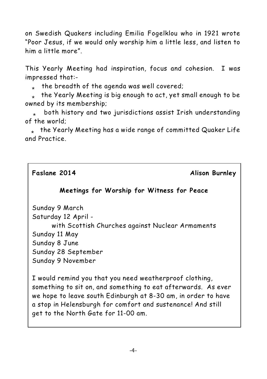on Swedish Quakers including Emilia Fogelklou who in 1921 wrote "Poor Jesus, if we would only worship him a little less, and listen to him a little more".

This Yearly Meeting had inspiration, focus and cohesion. I was impressed that:-

 $_{*}$  the breadth of the agenda was well covered;

the Yearly Meeting is big enough to act, yet small enough to be owned by its membership;

both history and two jurisdictions assist Irish understanding of the world;

 $*$  the Yearly Meeting has a wide range of committed Quaker Life and Practice.

**Faslane 2014 Alison Burnley**

### **Meetings for Worship for Witness for Peace**

Sunday 9 March

Saturday 12 April -

with Scottish Churches against Nuclear Armaments Sunday 11 May Sunday 8 June Sunday 28 September

Sunday 9 November

I would remind you that you need weatherproof clothing, something to sit on, and something to eat afterwards. As ever we hope to leave south Edinburgh at 8-30 am, in order to have a stop in Helensburgh for comfort and sustenance! And still get to the North Gate for 11-00 am.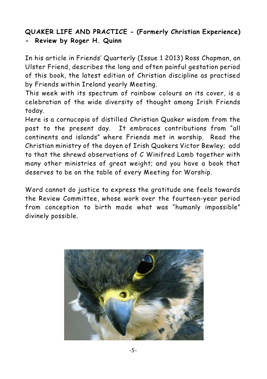# **QUAKER LIFE AND PRACTICE - (Formerly Christian Experience) - Review by Roger H. Quinn**

In his article in Friends' Quarterly (Issue 1 2013) Ross Chapman, an Ulster Friend, describes the long and often painful gestation period of this book, the latest edition of Christian discipline as practised by Friends within Ireland yearly Meeting.

This week with its spectrum of rainbow colours on its cover, is a celebration of the wide diversity of thought among Irish Friends today.

Here is a cornucopia of distilled Christian Quaker wisdom from the past to the present day. It embraces contributions from "all continents and islands" where Friends met in worship. Read the Christian ministry of the doyen of Irish Quakers Victor Bewley; add to that the shrewd observations of C Winifred Lamb together with many other ministries of great weight; and you have a book that deserves to be on the table of every Meeting for Worship.

Word cannot do justice to express the gratitude one feels towards the Review Committee, whose work over the fourteen-year period from conception to birth made what was "humanly impossible" divinely possible.

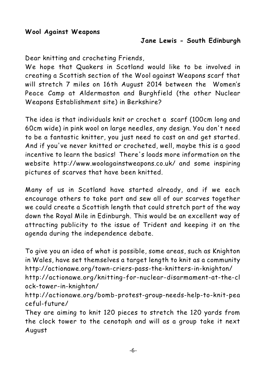Dear knitting and crocheting Friends,

We hope that Quakers in Scotland would like to be involved in creating a Scottish section of the Wool against Weapons scarf that will stretch 7 miles on 16th August 2014 between the Women's Peace Camp at Aldermaston and Burghfield (the other Nuclear Weapons Establishment site) in Berkshire?

The idea is that individuals knit or crochet a scarf (100cm long and 60cm wide) in pink wool on large needles, any design. You don't need to be a fantastic knitter, you just need to cast on and get started. And if you've never knitted or crocheted, well, maybe this is a good incentive to learn the basics! There's loads more information on the website http://www.woolagainstweapons.co.uk/ and some inspiring pictures of scarves that have been knitted.

Many of us in Scotland have started already, and if we each encourage others to take part and sew all of our scarves together we could create a Scottish length that could stretch part of the way down the Royal Mile in Edinburgh. This would be an excellent way of attracting publicity to the issue of Trident and keeping it on the agenda during the independence debate.

To give you an idea of what is possible, some areas, such as Knighton in Wales, have set themselves a target length to knit as a community http://actionawe.org/town-criers-pass-the-knitters-in-knighton/

http://actionawe.org/knitting-for-nuclear-disarmament-at-the-cl ock-tower-in-knighton/

http://actionawe.org/bomb-protest-group-needs-help-to-knit-pea ceful-future/

They are aiming to knit 120 pieces to stretch the 120 yards from the clock tower to the cenotaph and will as a group take it next August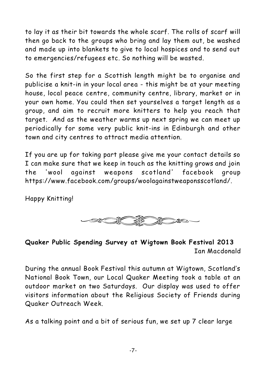to lay it as their bit towards the whole scarf. The rolls of scarf will then go back to the groups who bring and lay them out, be washed and made up into blankets to give to local hospices and to send out to emergencies/refugees etc. So nothing will be wasted.

So the first step for a Scottish length might be to organise and publicise a knit-in in your local area - this might be at your meeting house, local peace centre, community centre, library, market or in your own home. You could then set yourselves a target length as a group, and aim to recruit more knitters to help you reach that target. And as the weather warms up next spring we can meet up periodically for some very public knit-ins in Edinburgh and other town and city centres to attract media attention.

If you are up for taking part please give me your contact details so I can make sure that we keep in touch as the knitting grows and join the 'wool against weapons scotland' facebook group https://www.facebook.com/groups/woolagainstweaponsscotland/.

Happy Knitting!



### **Quaker Public Spending Survey at Wigtown Book Festival 2013** Ian Macdonald

During the annual Book Festival this autumn at Wigtown, Scotland's National Book Town, our Local Quaker Meeting took a table at an outdoor market on two Saturdays. Our display was used to offer visitors information about the Religious Society of Friends during Quaker Outreach Week.

As a talking point and a bit of serious fun, we set up 7 clear large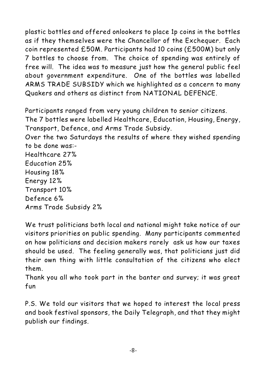plastic bottles and offered onlookers to place 1p coins in the bottles as if they themselves were the Chancellor of the Exchequer. Each coin represented £50M. Participants had 10 coins (£500M) but only 7 bottles to choose from. The choice of spending was entirely of free will. The idea was to measure just how the general public feel about government expenditure. One of the bottles was labelled ARMS TRADE SUBSIDY which we highlighted as a concern to many Quakers and others as distinct from NATIONAL DEFENCE.

Participants ranged from very young children to senior citizens. The 7 bottles were labelled Healthcare, Education, Housing, Energy, Transport, Defence, and Arms Trade Subsidy.

Over the two Saturdays the results of where they wished spending to be done was:-

Healthcare 27% Education 25% Housing 18% Energy 12% Transport 10% Defence 6% Arms Trade Subsidy 2%

We trust politicians both local and national might take notice of our visitors priorities on public spending. Many participants commented on how politicians and decision makers rarely ask us how our taxes should be used. The feeling generally was, that politicians just did their own thing with little consultation of the citizens who elect them.

Thank you all who took part in the banter and survey; it was great fun

P.S. We told our visitors that we hoped to interest the local press and book festival sponsors, the Daily Telegraph, and that they might publish our findings.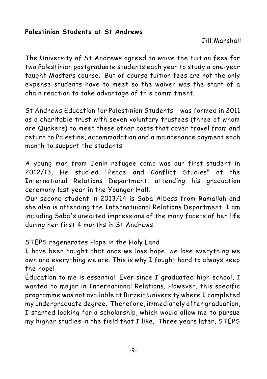### **Palestinian Students at St Andrews**

Jill Marshall

The University of St Andrews agreed to waive the tuition fees for two Palestinian postgraduate students each year to study a one-year taught Masters course. But of course tuition fees are not the only expense students have to meet so the waiver was the start of a chain reaction to take advantage of this commitment.

St Andrews Education for Palestinian Students was formed in 2011 as a charitable trust with seven voluntary trustees (three of whom are Quakers) to meet these other costs that cover travel from and return to Palestine, accommodation and a maintenance payment each month to support the students.

A young man from Jenin refugee camp was our first student in 2012/13. He studied "Peace and Conflict Studies" at the International Relations Department, attending his graduation ceremony last year in the Younger Hall.

Our second student in 2013/14 is Saba Albess from Ramallah and she also is attending the Internatuional Relations Department. I am including Saba's unedited impressions of the many facets of her life during her first 4 months in St Andrews.

STEPS regenerates Hope in the Holy Land

I have been taught that once we lose hope, we lose everything we own and everything we are. This is why I fought hard to always keep the hope!

Education to me is essential. Ever since I graduated high school, I wanted to major in International Relations. However, this specific programme was not available at Birzeit University where I completed my undergraduate degree. Therefore, immediately after graduation, I started looking for a scholarship, which would allow me to pursue my higher studies in the field that I like. Three years later, STEPS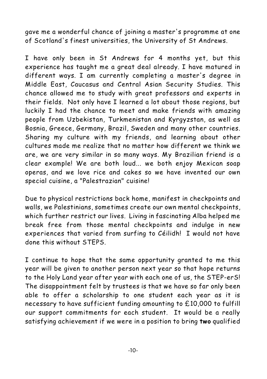gave me a wonderful chance of joining a master's programme at one of Scotland's finest universities, the University of St Andrews.

I have only been in St Andrews for 4 months yet, but this experience has taught me a great deal already. I have matured in different ways. I am currently completing a master's degree in Middle East, Caucasus and Central Asian Security Studies. This chance allowed me to study with great professors and experts in their fields. Not only have I learned a lot about those regions, but luckily I had the chance to meet and make friends with amazing people from Uzbekistan, Turkmenistan and Kyrgyzstan, as well as Bosnia, Greece, Germany, Brazil, Sweden and many other countries. Sharing my culture with my friends, and learning about other cultures made me realize that no matter how different we think we are, we are very similar in so many ways. My Brazilian friend is a clear example! We are both loud... we both enjoy Mexican soap operas, and we love rice and cakes so we have invented our own special cuisine, a "Palestrazian" cuisine!

Due to physical restrictions back home, manifest in checkpoints and walls, we Palestinians, sometimes create our own mental checkpoints, which further restrict our lives. Living in fascinating Alba helped me break free from those mental checkpoints and indulge in new experiences that varied from surfing to Céilidh! I would not have done this without STEPS.

I continue to hope that the same opportunity granted to me this year will be given to another person next year so that hope returns to the Holy Land year after year with each one of us, the STEP-erS! The disappointment felt by trustees is that we have so far only been able to offer a scholarship to one student each year as it is necessary to have sufficient funding amounting to £10,000 to fulfill our support commitments for each student. It would be a really satisfying achievement if we were in a position to bring **two** qualified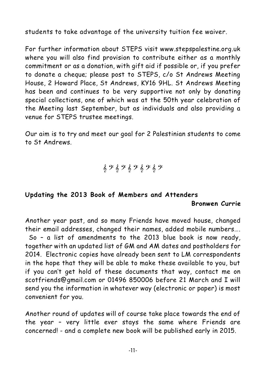students to take advantage of the university tuition fee waiver.

For further information about STEPS visit www.stepspalestine.org.uk where you will also find provision to contribute either as a monthly commitment or as a donation, with gift aid if possible or, if you prefer to donate a cheque; please post to STEPS, c/o St Andrews Meeting House, 2 Howard Place, St Andrews, KY16 9HL. St Andrews Meeting has been and continues to be very supportive not only by donating special collections, one of which was at the 50th year celebration of the Meeting last September, but as individuals and also providing a venue for STEPS trustee meetings.

Our aim is to try and meet our goal for 2 Palestinian students to come to St Andrews.

 $69$   $69$   $69$   $69$   $69$ 

### **Updating the 2013 Book of Members and Attenders**

### **Bronwen Currie**

Another year past, and so many Friends have moved house, changed their email addresses, changed their names, added mobile numbers…. So – a list of amendments to the 2013 blue book is now ready, together with an updated list of GM and AM dates and postholders for 2014. Electronic copies have already been sent to LM correspondents in the hope that they will be able to make these available to you, but if you can't get hold of these documents that way, contact me on scotfriends@gmail.com or 01496 850006 before 21 March and I will send you the information in whatever way (electronic or paper) is most convenient for you.

Another round of updates will of course take place towards the end of the year – very little ever stays the same where Friends are concerned! - and a complete new book will be published early in 2015.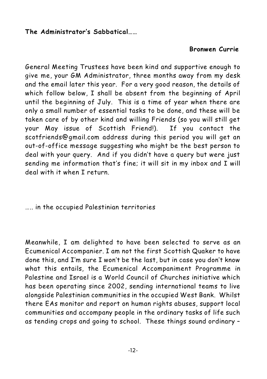### **The Administrator's Sabbatical……**

# **Bronwen Currie**

General Meeting Trustees have been kind and supportive enough to give me, your GM Administrator, three months away from my desk and the email later this year. For a very good reason, the details of which follow below, I shall be absent from the beginning of April until the beginning of July. This is a time of year when there are only a small number of essential tasks to be done, and these will be taken care of by other kind and willing Friends (so you will still get your May issue of Scottish Friend!). If you contact the scotfriends@gmail.com address during this period you will get an out-of-office message suggesting who might be the best person to deal with your query. And if you didn't have a query but were just sending me information that's fine; it will sit in my inbox and I will deal with it when I return.

….. in the occupied Palestinian territories

Meanwhile, I am delighted to have been selected to serve as an Ecumenical Accompanier. I am not the first Scottish Quaker to have done this, and I'm sure I won't be the last, but in case you don't know what this entails, the Ecumenical Accompaniment Programme in Palestine and Israel is a World Council of Churches initiative which has been operating since 2002, sending international teams to live alongside Palestinian communities in the occupied West Bank. Whilst there EAs monitor and report on human rights abuses, support local communities and accompany people in the ordinary tasks of life such as tending crops and going to school. These things sound ordinary –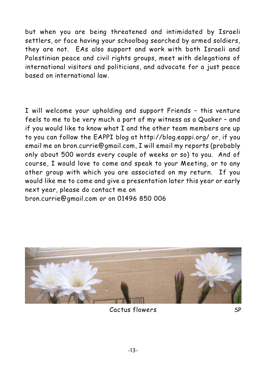but when you are being threatened and intimidated by Israeli settlers, or face having your schoolbag searched by armed soldiers, they are not. EAs also support and work with both Israeli and Palestinian peace and civil rights groups, meet with delegations of international visitors and politicians, and advocate for a just peace based on international law.

I will welcome your upholding and support Friends – this venture feels to me to be very much a part of my witness as a Quaker – and if you would like to know what I and the other team members are up to you can follow the EAPPI blog at http://blog.eappi.org/ or, if you email me on bron.currie@gmail.com, I will email my reports (probably only about 500 words every couple of weeks or so) to you. And of course, I would love to come and speak to your Meeting, or to any other group with which you are associated on my return. If you would like me to come and give a presentation later this year or early next year, please do contact me on bron.currie@gmail.com or on 01496 850 006



Cactus flowers SP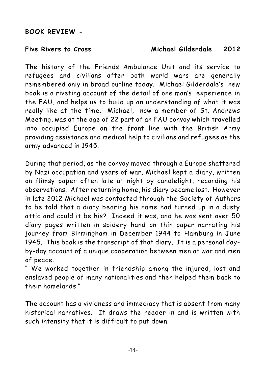### **BOOK REVIEW -**

### **Five Rivers to Cross Michael Gilderdale 2012**

The history of the Friends Ambulance Unit and its service to refugees and civilians after both world wars are generally remembered only in broad outline today. Michael Gilderdale's new book is a riveting account of the detail of one man's experience in the FAU, and helps us to build up an understanding of what it was really like at the time. Michael, now a member of St. Andrews Meeting, was at the age of 22 part of an FAU convoy which travelled into occupied Europe on the front line with the British Army providing assistance and medical help to civilians and refugees as the army advanced in 1945.

During that period, as the convoy moved through a Europe shattered by Nazi occupation and years of war, Michael kept a diary, written on flimsy paper often late at night by candlelight, recording his observations. After returning home, his diary became lost. However in late 2012 Michael was contacted through the Society of Authors to be told that a diary bearing his name had turned up in a dusty attic and could it be his? Indeed it was, and he was sent over 50 diary pages written in spidery hand on thin paper narrating his journey from Birmingham in December 1944 to Hamburg in June 1945. This book is the transcript of that diary. It is a personal dayby-day account of a unique cooperation between men at war and men of peace.

" We worked together in friendship among the injured, lost and enslaved people of many nationalities and then helped them back to their homelands."

The account has a vividness and immediacy that is absent from many historical narratives. It draws the reader in and is written with such intensity that it is difficult to put down.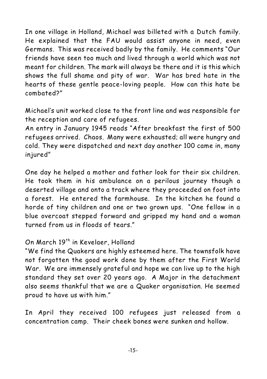In one village in Holland, Michael was billeted with a Dutch family. He explained that the FAU would assist anyone in need, even Germans. This was received badly by the family. He comments "Our friends have seen too much and lived through a world which was not meant for children. The mark will always be there and it is this which shows the full shame and pity of war. War has bred hate in the hearts of these gentle peace-loving people. How can this hate be combated?"

Michael's unit worked close to the front line and was responsible for the reception and care of refugees.

An entry in January 1945 reads "After breakfast the first of 500 refugees arrived. Chaos. Many were exhausted; all were hungry and cold. They were dispatched and next day another 100 came in, many injured"

One day he helped a mother and father look for their six children. He took them in his ambulance on a perilous journey though a deserted village and onto a track where they proceeded on foot into a forest. He entered the farmhouse. In the kitchen he found a horde of tiny children and one or two grown ups. "One fellow in a blue overcoat stepped forward and gripped my hand and a woman turned from us in floods of tears."

# On March 19<sup>th</sup> in Kevelaer, Holland

"We find the Quakers are highly esteemed here. The townsfolk have not forgotten the good work done by them after the First World War. We are immensely grateful and hope we can live up to the high standard they set over 20 years ago. A Major in the detachment also seems thankful that we are a Quaker organisation. He seemed proud to have us with him."

In April they received 100 refugees just released from a concentration camp. Their cheek bones were sunken and hollow.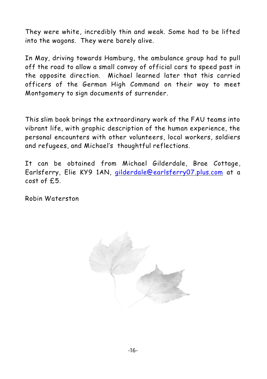They were white, incredibly thin and weak. Some had to be lifted into the wagons. They were barely alive.

In May, driving towards Hamburg, the ambulance group had to pull off the road to allow a small convoy of official cars to speed past in the opposite direction. Michael learned later that this carried officers of the German High Command on their way to meet Montgomery to sign documents of surrender.

This slim book brings the extraordinary work of the FAU teams into vibrant life, with graphic description of the human experience, the personal encounters with other volunteers, local workers, soldiers and refugees, and Michael's thoughtful reflections.

It can be obtained from Michael Gilderdale, Brae Cottage, Earlsferry, Elie KY9 1AN, [gilderdale@earlsferry07.plus.com](mailto:gilderdale@earlsferry07.plus.com) at a cost of £5.

Robin Waterston

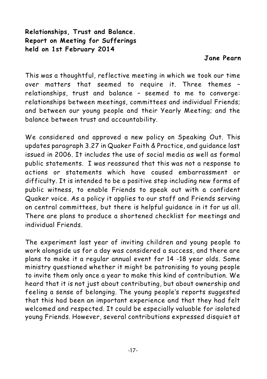**Relationships, Trust and Balance. Report on Meeting for Sufferings held on 1st February 2014**

### **Jane Pearn**

This was a thoughtful, reflective meeting in which we took our time over matters that seemed to require it. Three themes – relationships, trust and balance – seemed to me to converge: relationships between meetings, committees and individual Friends; and between our young people and their Yearly Meeting; and the balance between trust and accountability.

We considered and approved a new policy on Speaking Out. This updates paragraph 3.27 in Quaker Faith & Practice, and guidance last issued in 2006. It includes the use of social media as well as formal public statements. I was reassured that this was not a response to actions or statements which have caused embarrassment or difficulty. It is intended to be a positive step including new forms of public witness, to enable Friends to speak out with a confident Quaker voice. As a policy it applies to our staff and Friends serving on central committees, but there is helpful guidance in it for us all. There are plans to produce a shortened checklist for meetings and individual Friends.

The experiment last year of inviting children and young people to work alongside us for a day was considered a success, and there are plans to make it a regular annual event for 14 -18 year olds. Some ministry questioned whether it might be patronising to young people to invite them only once a year to make this kind of contribution. We heard that it is not just about contributing, but about ownership and feeling a sense of belonging. The young people's reports suggested that this had been an important experience and that they had felt welcomed and respected. It could be especially valuable for isolated young Friends. However, several contributions expressed disquiet at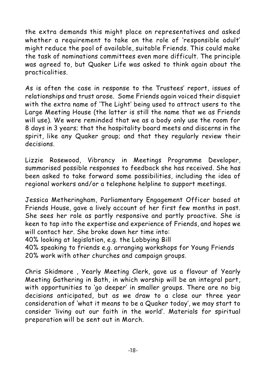the extra demands this might place on representatives and asked whether a requirement to take on the role of 'responsible adult' might reduce the pool of available, suitable Friends. This could make the task of nominations committees even more difficult. The principle was agreed to, but Quaker Life was asked to think again about the practicalities.

As is often the case in response to the Trustees' report, issues of relationships and trust arose. Some Friends again voiced their disquiet with the extra name of 'The Light' being used to attract users to the Large Meeting House (the latter is still the name that we as Friends will use). We were reminded that we as a body only use the room for 8 days in 3 years; that the hospitality board meets and discerns in the spirit, like any Quaker group; and that they regularly review their decisions.

Lizzie Rosewood, Vibrancy in Meetings Programme Developer, summarised possible responses to feedback she has received. She has been asked to take forward some possibilities, including the idea of regional workers and/or a telephone helpline to support meetings.

Jessica Metheringham, Parliamentary Engagement Officer based at Friends House, gave a lively account of her first few months in post. She sees her role as partly responsive and partly proactive. She is keen to tap into the expertise and experience of Friends, and hopes we will contact her. She broke down her time into:

40% looking at legislation, e.g. the Lobbying Bill

40% speaking to friends e.g. arranging workshops for Young Friends 20% work with other churches and campaign groups.

Chris Skidmore , Yearly Meeting Clerk, gave us a flavour of Yearly Meeting Gathering in Bath, in which worship will be an integral part, with opportunities to 'go deeper' in smaller groups. There are no big decisions anticipated, but as we draw to a close our three year consideration of 'what it means to be a Quaker today', we may start to consider 'living out our faith in the world'. Materials for spiritual preparation will be sent out in March.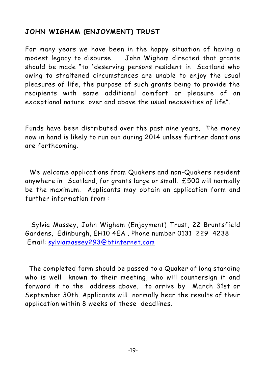# **JOHN WIGHAM (ENJOYMENT) TRUST**

For many years we have been in the happy situation of having a modest legacy to disburse. John Wigham directed that grants should be made "to 'deserving persons resident in Scotland who owing to straitened circumstances are unable to enjoy the usual pleasures of life, the purpose of such grants being to provide the recipients with some additional comfort or pleasure of an exceptional nature over and above the usual necessities of life".

Funds have been distributed over the past nine years. The money now in hand is likely to run out during 2014 unless further donations are forthcoming.

 We welcome applications from Quakers and non-Quakers resident anywhere in Scotland, for grants large or small. £500 will normally be the maximum. Applicants may obtain an application form and further information from :

Sylvia Massey, John Wigham (Enjoyment) Trust, 22 Bruntsfield Gardens, Edinburgh, EH10 4EA . Phone number 0131 229 4238 Email: [sylviamassey293@btinternet.com](mailto:sylviamassey293@btinternet.com)

 The completed form should be passed to a Quaker of long standing who is well known to their meeting, who will countersign it and forward it to the address above, to arrive by March 31st or September 30th. Applicants will normally hear the results of their application within 8 weeks of these deadlines.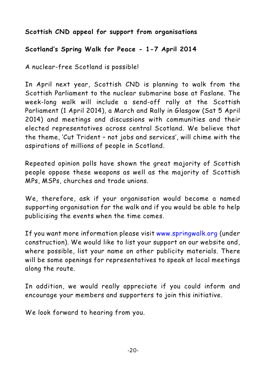# **Scottish CND appeal for support from organisations**

# **Scotland's Spring Walk for Peace - 1-7 April 2014**

A nuclear-free Scotland is possible!

In April next year, Scottish CND is planning to walk from the Scottish Parliament to the nuclear submarine base at Faslane. The week-long walk will include a send-off rally at the Scottish Parliament (1 April 2014), a March and Rally in Glasgow (Sat 5 April 2014) and meetings and discussions with communities and their elected representatives across central Scotland. We believe that the theme, 'Cut Trident – not jobs and services', will chime with the aspirations of millions of people in Scotland.

Repeated opinion polls have shown the great majority of Scottish people oppose these weapons as well as the majority of Scottish MPs, MSPs, churches and trade unions.

We, therefore, ask if your organisation would become a named supporting organisation for the walk and if you would be able to help publicising the events when the time comes.

If you want more information please visit www.springwalk.org (under construction). We would like to list your support on our website and, where possible, list your name on other publicity materials. There will be some openings for representatives to speak at local meetings along the route.

In addition, we would really appreciate if you could inform and encourage your members and supporters to join this initiative.

We look forward to hearing from you.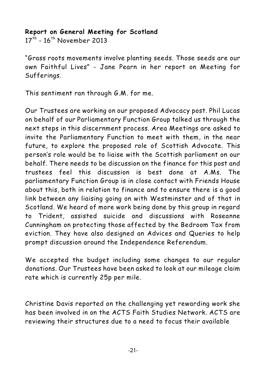### **Report on General Meeting for Scotland**

 $17<sup>th</sup>$  -  $16<sup>th</sup>$  November 2013

"Grass roots movements involve planting seeds. Those seeds are our own Faithful Lives" - Jane Pearn in her report on Meeting for Sufferings.

This sentiment ran through G.M. for me.

Our Trustees are working on our proposed Advocacy post. Phil Lucas on behalf of our Parliamentary Function Group talked us through the next steps in this discernment process. Area Meetings are asked to invite the Parliamentary Function to meet with them, in the near future, to explore the proposed role of Scottish Advocate. This person's role would be to liaise with the Scottish parliament on our behalf. There needs to be discussion on the finance for this post and trustees feel this discussion is best done at A.Ms. The parliamentary Function Group is in close contact with Friends House about this, both in relation to finance and to ensure there is a good link between any liaising going on with Westminster and of that in Scotland. We heard of more work being done by this group in regard to Trident, assisted suicide and discussions with Roseanne Cunningham on protecting those affected by the Bedroom Tax from eviction. They have also designed an Advices and Queries to help prompt discussion around the Independence Referendum.

We accepted the budget including some changes to our regular donations. Our Trustees have been asked to look at our mileage claim rate which is currently 25p per mile.

Christine Davis reported on the challenging yet rewarding work she has been involved in on the ACTS Faith Studies Network. ACTS are reviewing their structures due to a need to focus their available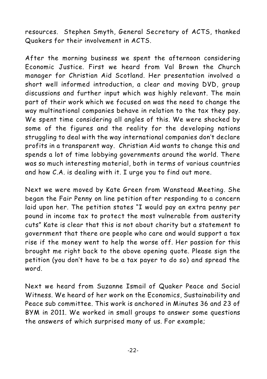resources. Stephen Smyth, General Secretary of ACTS, thanked Quakers for their involvement in ACTS.

After the morning business we spent the afternoon considering Economic Justice. First we heard from Val Brown the Church manager for Christian Aid Scotland. Her presentation involved a short well informed introduction, a clear and moving DVD, group discussions and further input which was highly relevant. The main part of their work which we focused on was the need to change the way multinational companies behave in relation to the tax they pay. We spent time considering all angles of this. We were shocked by some of the figures and the reality for the developing nations struggling to deal with the way international companies don't declare profits in a transparent way. Christian Aid wants to change this and spends a lot of time lobbying governments around the world. There was so much interesting material, both in terms of various countries and how C.A. is dealing with it. I urge you to find out more.

Next we were moved by Kate Green from Wanstead Meeting. She began the Fair Penny on line petition after responding to a concern laid upon her. The petition states "I would pay an extra penny per pound in income tax to protect the most vulnerable from austerity cuts" Kate is clear that this is not about charity but a statement to government that there are people who care and would support a tax rise if the money went to help the worse off. Her passion for this brought me right back to the above opening quote. Please sign the petition (you don't have to be a tax payer to do so) and spread the word.

Next we heard from Suzanne Ismail of Quaker Peace and Social Witness. We heard of her work on the Economics, Sustainability and Peace sub committee. This work is anchored in Minutes 36 and 23 of BYM in 2011. We worked in small groups to answer some questions the answers of which surprised many of us. For example;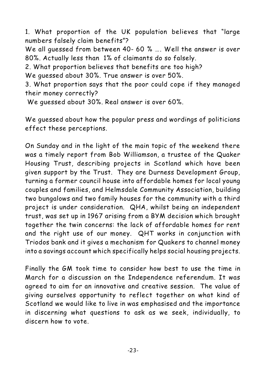1. What proportion of the UK population believes that "large numbers falsely claim benefits"? We all guessed from between 40- 60 % …. Well the answer is over 80%. Actually less than 1% of claimants do so falsely. 2. What proportion believes that benefits are too high? We guessed about 30%. True answer is over 50%. 3. What proportion says that the poor could cope if they managed their money correctly?

We guessed about 30%. Real answer is over 60%.

We guessed about how the popular press and wordings of politicians effect these perceptions.

On Sunday and in the light of the main topic of the weekend there was a timely report from Bob Williamson, a trustee of the Quaker Housing Trust, describing projects in Scotland which have been given support by the Trust. They are Durness Development Group, turning a former council house into affordable homes for local young couples and families, and Helmsdale Community Association, building two bungalows and two family houses for the community with a third project is under consideration. QHA, whilst being an independent trust, was set up in 1967 arising from a BYM decision which brought together the twin concerns: the lack of affordable homes for rent and the right use of our money. QHT works in conjunction with Triodos bank and it gives a mechanism for Quakers to channel money into a savings account which specifically helps social housing projects.

Finally the GM took time to consider how best to use the time in March for a discussion on the Independence referendum. It was agreed to aim for an innovative and creative session. The value of giving ourselves opportunity to reflect together on what kind of Scotland we would like to live in was emphasised and the importance in discerning what questions to ask as we seek, individually, to discern how to vote.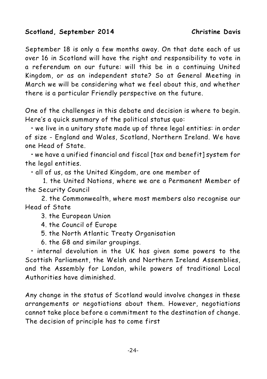### **Scotland, September 2014 Christine Davis**

September 18 is only a few months away. On that date each of us over 16 in Scotland will have the right and responsibility to vote in a referendum on our future: will this be in a continuing United Kingdom, or as an independent state? So at General Meeting in March we will be considering what we feel about this, and whether there is a particular Friendly perspective on the future.

One of the challenges in this debate and decision is where to begin. Here's a quick summary of the political status quo:

• we live in a unitary state made up of three legal entities: in order of size - England and Wales, Scotland, Northern Ireland. We have one Head of State.

• we have a unified financial and fiscal [tax and benefit] system for the legal entities.

• all of us, as the United Kingdom, are one member of

 1. the United Nations, where we are a Permanent Member of the Security Council

 2. the Commonwealth, where most members also recognise our Head of State

3. the European Union

- 4. the Council of Europe
- 5. the North Atlantic Treaty Organisation
- 6. the G8 and similar groupings.

• internal devolution in the UK has given some powers to the Scottish Parliament, the Welsh and Northern Ireland Assemblies, and the Assembly for London, while powers of traditional Local Authorities have diminished.

Any change in the status of Scotland would involve changes in these arrangements or negotiations about them. However, negotiations cannot take place before a commitment to the destination of change. The decision of principle has to come first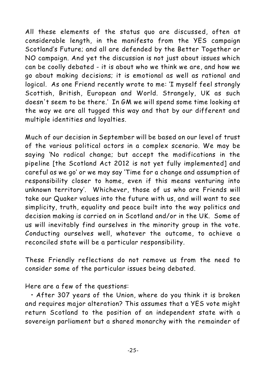All these elements of the status quo are discussed, often at considerable length, in the manifesto from the YES campaign *Scotland's Future*; and all are defended by the *Better Together* or NO campaign. And yet the discussion is not just about issues which can be coolly debated - it is about who we think we are, and how we go about making decisions; it is emotional as well as rational and logical. As one Friend recently wrote to me: 'I myself feel strongly Scottish, British, European and World. Strangely, UK as such doesn't seem to be there.' In GM we will spend some time looking at the way we are all tugged this way and that by our different and multiple identities and loyalties.

Much of our decision in September will be based on our level of trust of the various political actors in a complex scenario. We may be saying 'No radical change; but accept the modifications in the pipeline [the Scotland Act 2012 is not yet fully implemented] and careful as we go' or we may say 'Time for a change and assumption of responsibility closer to home, even if this means venturing into unknown territory'. Whichever, those of us who are Friends will take our Quaker values into the future with us, and will want to see simplicity, truth, equality and peace built into the way politics and decision making is carried on in Scotland and/or in the UK. Some of us will inevitably find ourselves in the minority group in the vote. Conducting ourselves well, whatever the outcome, to achieve a reconciled state will be a particular responsibility.

These Friendly reflections do not remove us from the need to consider some of the particular issues being debated.

Here are a few of the questions:

• After 307 years of the Union, where do you think it is broken and requires major alteration? This assumes that a YES vote might return Scotland to the position of an independent state with a sovereign parliament but a shared monarchy with the remainder of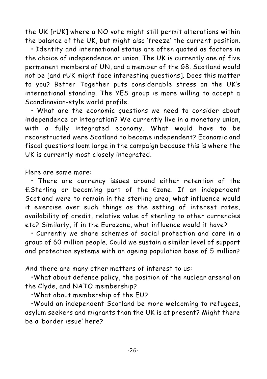the UK [rUK] where a NO vote might still permit alterations within the balance of the UK, but might also 'freeze' the current position.

• Identity and international status are often quoted as factors in the choice of independence or union. The UK is currently one of five permanent members of UN, and a member of the G8. Scotland would not be [and rUK might face interesting questions]. Does this matter to you? *Better Together* puts considerable stress on the UK's international standing. The YES group is more willing to accept a Scandinavian-style world profile.

• What are the economic questions we need to consider about independence or integration? We currently live in a monetary union, with a fully integrated economy. What would have to be reconstructed were Scotland to become independent? Economic and fiscal questions loom large in the campaign because this is where the UK is currently most closely integrated.

Here are some more:

• There are currency issues around either retention of the £Sterling or becoming part of the  $\epsilon$ zone. If an independent Scotland were to remain in the sterling area, what influence would it exercise over such things as the setting of interest rates, availability of credit, relative value of sterling to other currencies etc? Similarly, if in the Eurozone, what influence would it have?

• Currently we share schemes of social protection and care in a group of 60 million people. Could we sustain a similar level of support and protection systems with an ageing population base of 5 million?

And there are many other matters of interest to us:

•What about defence policy, the position of the nuclear arsenal on the Clyde, and NATO membership?

•What about membership of the EU?

•Would an independent Scotland be more welcoming to refugees, asylum seekers and migrants than the UK is at present? Might there be a 'border issue' here?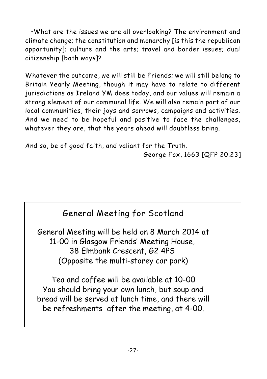•What are the issues we are all overlooking? The environment and climate change; the constitution and monarchy [is this the republican opportunity]; culture and the arts; travel and border issues; dual citizenship [both ways]?

Whatever the outcome, we will still be Friends; we will still belong to Britain Yearly Meeting, though it may have to relate to different jurisdictions as Ireland YM does today, and our values will remain a strong element of our communal life. We will also remain part of our local communities, their joys and sorrows, campaigns and activities. And we need to be hopeful and positive to face the challenges, whatever they are, that the years ahead will doubtless bring.

And so, be of good faith, and valiant for the Truth.

George Fox, 1663 [QFP 20.23]



General Meeting will be held on 8 March 2014 at 11-00 in Glasgow Friends' Meeting House, 38 Elmbank Crescent, G2 4PS (Opposite the multi-storey car park)

Tea and coffee will be available at 10-00 You should bring your own lunch, but soup and bread will be served at lunch time, and there will be refreshments after the meeting, at 4-00.